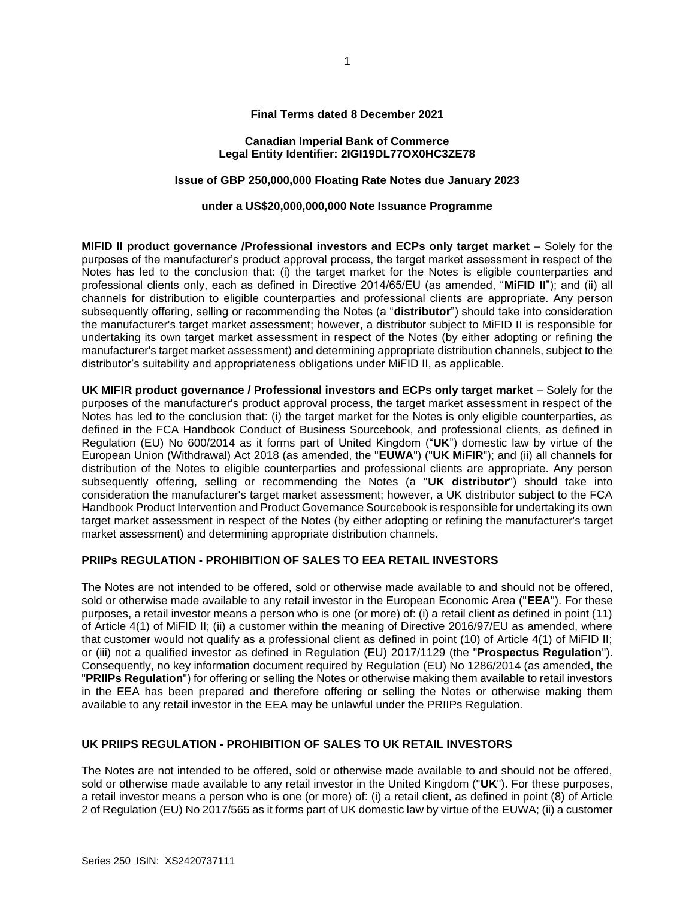### **Final Terms dated 8 December 2021**

### **Canadian Imperial Bank of Commerce Legal Entity Identifier: 2IGI19DL77OX0HC3ZE78**

# **Issue of GBP 250,000,000 Floating Rate Notes due January 2023**

#### **under a US\$20,000,000,000 Note Issuance Programme**

**MIFID II product governance /Professional investors and ECPs only target market** – Solely for the purposes of the manufacturer's product approval process, the target market assessment in respect of the Notes has led to the conclusion that: (i) the target market for the Notes is eligible counterparties and professional clients only, each as defined in Directive 2014/65/EU (as amended, "**MiFID II**"); and (ii) all channels for distribution to eligible counterparties and professional clients are appropriate. Any person subsequently offering, selling or recommending the Notes (a "**distributor**") should take into consideration the manufacturer's target market assessment; however, a distributor subject to MiFID II is responsible for undertaking its own target market assessment in respect of the Notes (by either adopting or refining the manufacturer's target market assessment) and determining appropriate distribution channels, subject to the distributor's suitability and appropriateness obligations under MiFID II, as applicable.

**UK MIFIR product governance / Professional investors and ECPs only target market** – Solely for the purposes of the manufacturer's product approval process, the target market assessment in respect of the Notes has led to the conclusion that: (i) the target market for the Notes is only eligible counterparties, as defined in the FCA Handbook Conduct of Business Sourcebook, and professional clients, as defined in Regulation (EU) No 600/2014 as it forms part of United Kingdom ("**UK**") domestic law by virtue of the European Union (Withdrawal) Act 2018 (as amended, the "**EUWA**") ("**UK MiFIR**"); and (ii) all channels for distribution of the Notes to eligible counterparties and professional clients are appropriate. Any person subsequently offering, selling or recommending the Notes (a "**UK distributor**") should take into consideration the manufacturer's target market assessment; however, a UK distributor subject to the FCA Handbook Product Intervention and Product Governance Sourcebook is responsible for undertaking its own target market assessment in respect of the Notes (by either adopting or refining the manufacturer's target market assessment) and determining appropriate distribution channels.

# **PRIIPs REGULATION - PROHIBITION OF SALES TO EEA RETAIL INVESTORS**

The Notes are not intended to be offered, sold or otherwise made available to and should not be offered, sold or otherwise made available to any retail investor in the European Economic Area ("**EEA**"). For these purposes, a retail investor means a person who is one (or more) of: (i) a retail client as defined in point (11) of Article 4(1) of MiFID II; (ii) a customer within the meaning of Directive 2016/97/EU as amended, where that customer would not qualify as a professional client as defined in point (10) of Article 4(1) of MiFID II; or (iii) not a qualified investor as defined in Regulation (EU) 2017/1129 (the "**Prospectus Regulation**"). Consequently, no key information document required by Regulation (EU) No 1286/2014 (as amended, the "**PRIIPs Regulation**") for offering or selling the Notes or otherwise making them available to retail investors in the EEA has been prepared and therefore offering or selling the Notes or otherwise making them available to any retail investor in the EEA may be unlawful under the PRIIPs Regulation.

# **UK PRIIPS REGULATION - PROHIBITION OF SALES TO UK RETAIL INVESTORS**

The Notes are not intended to be offered, sold or otherwise made available to and should not be offered, sold or otherwise made available to any retail investor in the United Kingdom ("**UK**"). For these purposes, a retail investor means a person who is one (or more) of: (i) a retail client, as defined in point (8) of Article 2 of Regulation (EU) No 2017/565 as it forms part of UK domestic law by virtue of the EUWA; (ii) a customer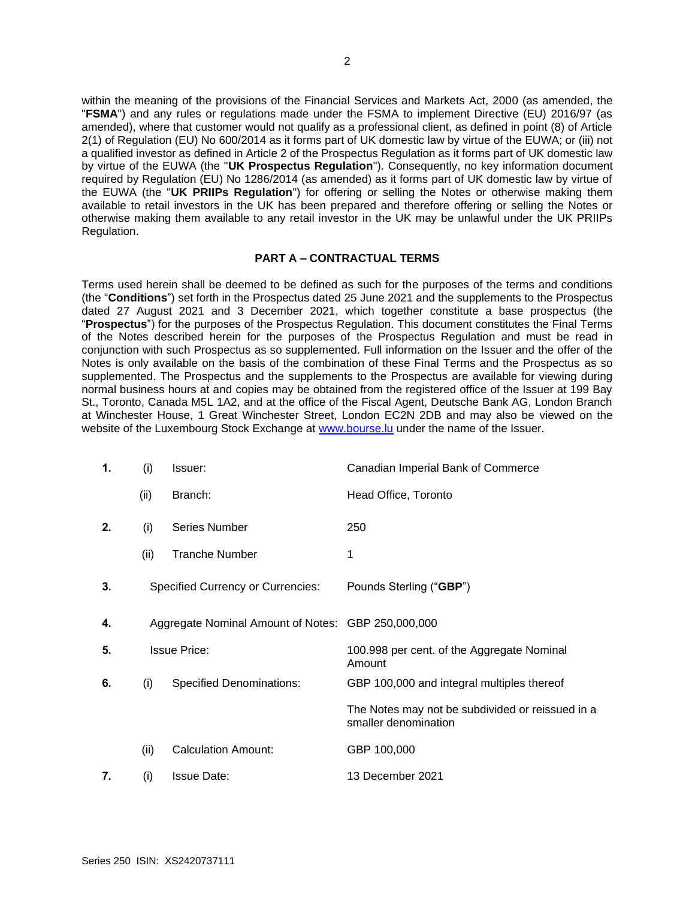within the meaning of the provisions of the Financial Services and Markets Act, 2000 (as amended, the "**FSMA**") and any rules or regulations made under the FSMA to implement Directive (EU) 2016/97 (as amended), where that customer would not qualify as a professional client, as defined in point (8) of Article 2(1) of Regulation (EU) No 600/2014 as it forms part of UK domestic law by virtue of the EUWA; or (iii) not a qualified investor as defined in Article 2 of the Prospectus Regulation as it forms part of UK domestic law by virtue of the EUWA (the "**UK Prospectus Regulation**"). Consequently, no key information document required by Regulation (EU) No 1286/2014 (as amended) as it forms part of UK domestic law by virtue of the EUWA (the "**UK PRIIPs Regulation**") for offering or selling the Notes or otherwise making them available to retail investors in the UK has been prepared and therefore offering or selling the Notes or otherwise making them available to any retail investor in the UK may be unlawful under the UK PRIIPs Regulation.

# **PART A – CONTRACTUAL TERMS**

Terms used herein shall be deemed to be defined as such for the purposes of the terms and conditions (the "**Conditions**") set forth in the Prospectus dated 25 June 2021 and the supplements to the Prospectus dated 27 August 2021 and 3 December 2021, which together constitute a base prospectus (the "**Prospectus**") for the purposes of the Prospectus Regulation. This document constitutes the Final Terms of the Notes described herein for the purposes of the Prospectus Regulation and must be read in conjunction with such Prospectus as so supplemented. Full information on the Issuer and the offer of the Notes is only available on the basis of the combination of these Final Terms and the Prospectus as so supplemented. The Prospectus and the supplements to the Prospectus are available for viewing during normal business hours at and copies may be obtained from the registered office of the Issuer at 199 Bay St., Toronto, Canada M5L 1A2, and at the office of the Fiscal Agent, Deutsche Bank AG, London Branch at Winchester House, 1 Great Winchester Street, London EC2N 2DB and may also be viewed on the website of the Luxembourg Stock Exchange at [www.bourse.lu](http://www.bourse.lu/) under the name of the Issuer.

| 1. | (i)  | Issuer:                                            | Canadian Imperial Bank of Commerce                                       |
|----|------|----------------------------------------------------|--------------------------------------------------------------------------|
|    | (ii) | Branch:                                            | Head Office, Toronto                                                     |
| 2. | (i)  | <b>Series Number</b>                               | 250                                                                      |
|    | (ii) | <b>Tranche Number</b>                              | 1                                                                        |
| 3. |      | <b>Specified Currency or Currencies:</b>           | Pounds Sterling ("GBP")                                                  |
| 4. |      | Aggregate Nominal Amount of Notes: GBP 250,000,000 |                                                                          |
| 5. |      | <b>Issue Price:</b>                                | 100.998 per cent. of the Aggregate Nominal<br>Amount                     |
| 6. | (i)  | <b>Specified Denominations:</b>                    | GBP 100,000 and integral multiples thereof                               |
|    |      |                                                    | The Notes may not be subdivided or reissued in a<br>smaller denomination |
|    | (ii) | <b>Calculation Amount:</b>                         | GBP 100,000                                                              |
| 7. | (i)  | <b>Issue Date:</b>                                 | 13 December 2021                                                         |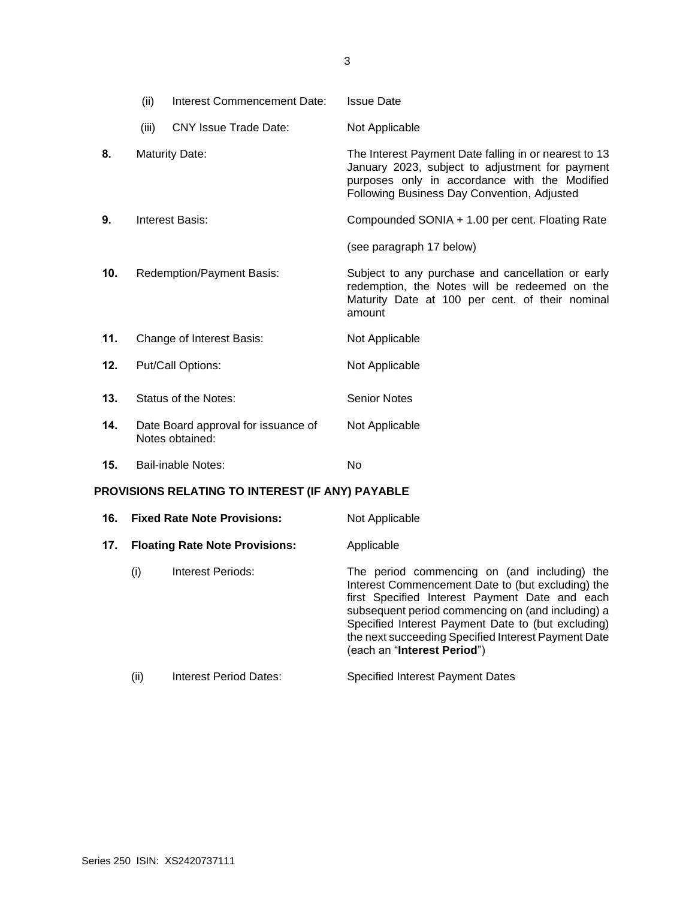|                                                  | (ii)  | Interest Commencement Date:                            | <b>Issue Date</b>                                                                                                                                                                                        |
|--------------------------------------------------|-------|--------------------------------------------------------|----------------------------------------------------------------------------------------------------------------------------------------------------------------------------------------------------------|
|                                                  | (iii) | <b>CNY Issue Trade Date:</b>                           | Not Applicable                                                                                                                                                                                           |
| 8.                                               |       | <b>Maturity Date:</b>                                  | The Interest Payment Date falling in or nearest to 13<br>January 2023, subject to adjustment for payment<br>purposes only in accordance with the Modified<br>Following Business Day Convention, Adjusted |
| 9.                                               |       | <b>Interest Basis:</b>                                 | Compounded SONIA + 1.00 per cent. Floating Rate                                                                                                                                                          |
|                                                  |       |                                                        | (see paragraph 17 below)                                                                                                                                                                                 |
| 10.                                              |       | Redemption/Payment Basis:                              | Subject to any purchase and cancellation or early<br>redemption, the Notes will be redeemed on the<br>Maturity Date at 100 per cent. of their nominal<br>amount                                          |
| 11.                                              |       | Change of Interest Basis:                              | Not Applicable                                                                                                                                                                                           |
| 12.                                              |       | Put/Call Options:                                      | Not Applicable                                                                                                                                                                                           |
| 13.                                              |       | Status of the Notes:                                   | <b>Senior Notes</b>                                                                                                                                                                                      |
| 14.                                              |       | Date Board approval for issuance of<br>Notes obtained: | Not Applicable                                                                                                                                                                                           |
| 15.                                              |       | <b>Bail-inable Notes:</b>                              | No                                                                                                                                                                                                       |
| PROVISIONS RELATING TO INTEREST (IF ANY) PAYABLE |       |                                                        |                                                                                                                                                                                                          |
| 16.                                              |       | <b>Fixed Rate Note Provisions:</b>                     | Not Applicable                                                                                                                                                                                           |

| 17. |      | <b>Floating Rate Note Provisions:</b> | Applicable                                                                                                                                                                                                                                                                                                                                           |
|-----|------|---------------------------------------|------------------------------------------------------------------------------------------------------------------------------------------------------------------------------------------------------------------------------------------------------------------------------------------------------------------------------------------------------|
|     | (i)  | Interest Periods:                     | The period commencing on (and including) the<br>Interest Commencement Date to (but excluding) the<br>first Specified Interest Payment Date and each<br>subsequent period commencing on (and including) a<br>Specified Interest Payment Date to (but excluding)<br>the next succeeding Specified Interest Payment Date<br>(each an "Interest Period") |
|     | (ii) | <b>Interest Period Dates:</b>         | <b>Specified Interest Payment Dates</b>                                                                                                                                                                                                                                                                                                              |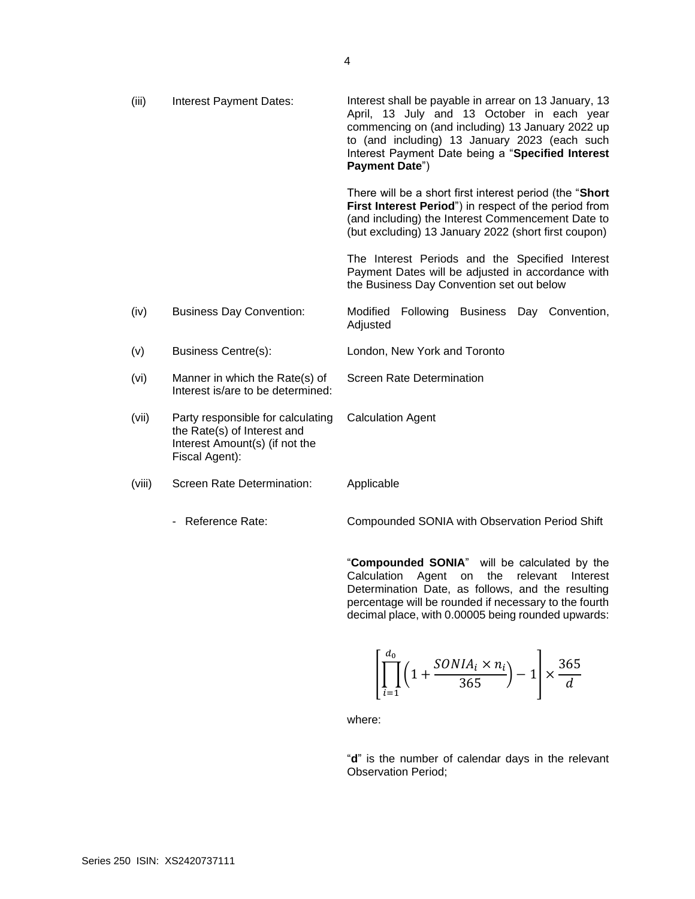| (iii)  | Interest Payment Dates:                                                                                              | Interest shall be payable in arrear on 13 January, 13<br>April, 13 July and 13 October in each year<br>commencing on (and including) 13 January 2022 up<br>to (and including) 13 January 2023 (each such<br>Interest Payment Date being a "Specified Interest<br>Payment Date") |
|--------|----------------------------------------------------------------------------------------------------------------------|---------------------------------------------------------------------------------------------------------------------------------------------------------------------------------------------------------------------------------------------------------------------------------|
|        |                                                                                                                      | There will be a short first interest period (the "Short"<br>First Interest Period") in respect of the period from<br>(and including) the Interest Commencement Date to<br>(but excluding) 13 January 2022 (short first coupon)                                                  |
|        |                                                                                                                      | The Interest Periods and the Specified Interest<br>Payment Dates will be adjusted in accordance with<br>the Business Day Convention set out below                                                                                                                               |
| (iv)   | <b>Business Day Convention:</b>                                                                                      | Modified<br>Following Business Day Convention,<br>Adjusted                                                                                                                                                                                                                      |
| (v)    | <b>Business Centre(s):</b>                                                                                           | London, New York and Toronto                                                                                                                                                                                                                                                    |
| (vi)   | Manner in which the Rate(s) of<br>Interest is/are to be determined:                                                  | Screen Rate Determination                                                                                                                                                                                                                                                       |
| (vii)  | Party responsible for calculating<br>the Rate(s) of Interest and<br>Interest Amount(s) (if not the<br>Fiscal Agent): | <b>Calculation Agent</b>                                                                                                                                                                                                                                                        |
| (viii) | Screen Rate Determination:                                                                                           | Applicable                                                                                                                                                                                                                                                                      |
|        | - Reference Rate:                                                                                                    | Compounded SONIA with Observation Period Shift                                                                                                                                                                                                                                  |

"**Compounded SONIA**" will be calculated by the Calculation Agent on the relevant Interest Determination Date, as follows, and the resulting percentage will be rounded if necessary to the fourth decimal place, with 0.00005 being rounded upwards:

$$
\left[\prod_{i=1}^{d_0} \left(1 + \frac{SONIA_i \times n_i}{365}\right) - 1\right] \times \frac{365}{d}
$$

where:

"**d**" is the number of calendar days in the relevant Observation Period;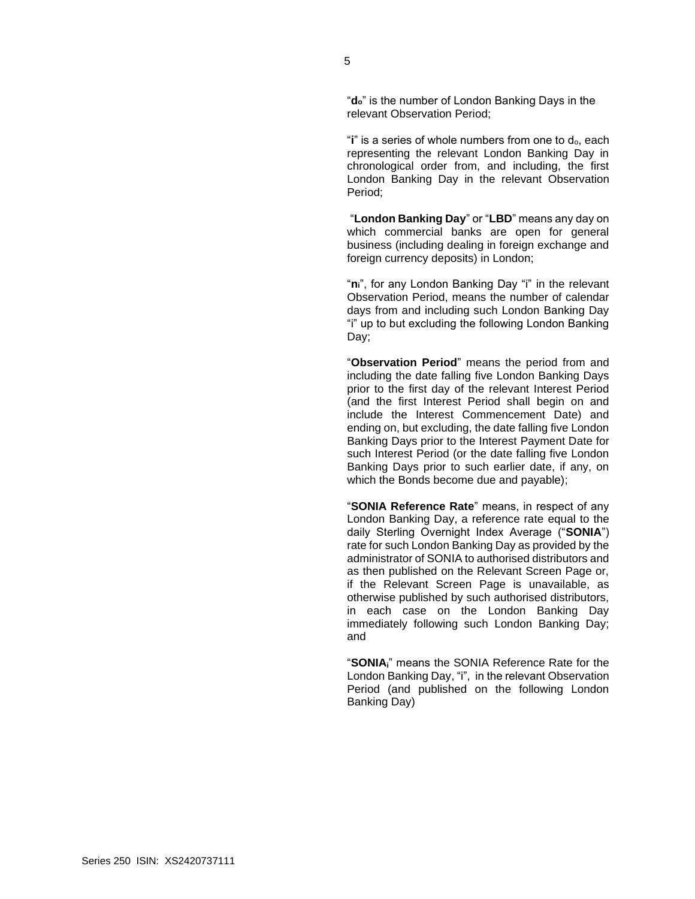"**do**" is the number of London Banking Days in the relevant Observation Period;

"**i**" is a series of whole numbers from one to do, each representing the relevant London Banking Day in chronological order from, and including, the first London Banking Day in the relevant Observation Period;

"**London Banking Day**" or "**LBD**" means any day on which commercial banks are open for general business (including dealing in foreign exchange and foreign currency deposits) in London;

"**ni**", for any London Banking Day "i" in the relevant Observation Period, means the number of calendar days from and including such London Banking Day "i" up to but excluding the following London Banking Day;

"**Observation Period**" means the period from and including the date falling five London Banking Days prior to the first day of the relevant Interest Period (and the first Interest Period shall begin on and include the Interest Commencement Date) and ending on, but excluding, the date falling five London Banking Days prior to the Interest Payment Date for such Interest Period (or the date falling five London Banking Days prior to such earlier date, if any, on which the Bonds become due and payable);

"**SONIA Reference Rate**" means, in respect of any London Banking Day, a reference rate equal to the daily Sterling Overnight Index Average ("**SONIA**") rate for such London Banking Day as provided by the administrator of SONIA to authorised distributors and as then published on the Relevant Screen Page or, if the Relevant Screen Page is unavailable, as otherwise published by such authorised distributors, in each case on the London Banking Day immediately following such London Banking Day; and

"**SONIAi**" means the SONIA Reference Rate for the London Banking Day, "i", in the relevant Observation Period (and published on the following London Banking Day)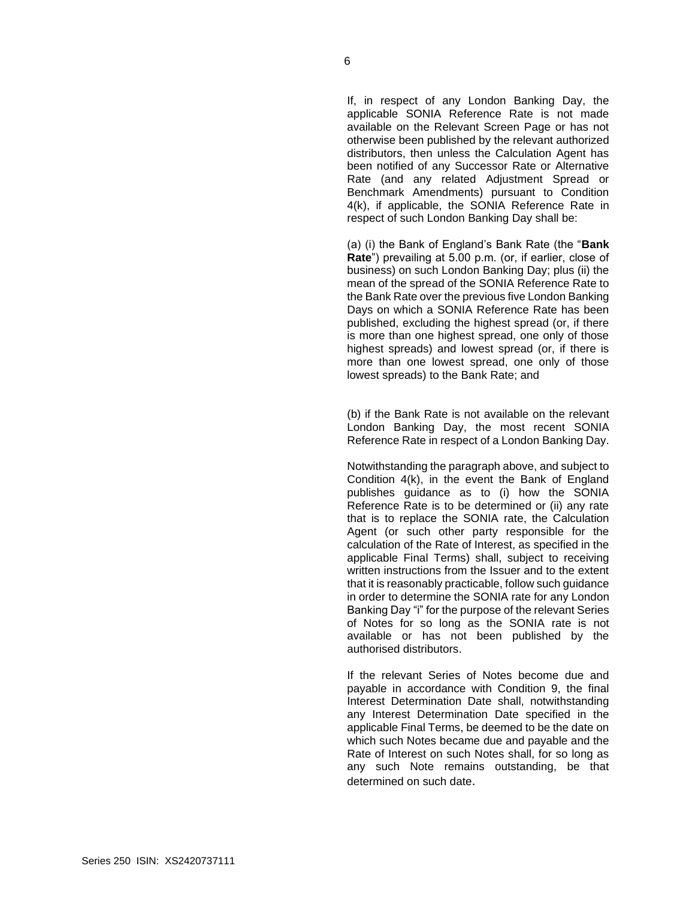If, in respect of any London Banking Day, the applicable SONIA Reference Rate is not made available on the Relevant Screen Page or has not otherwise been published by the relevant authorized distributors, then unless the Calculation Agent has been notified of any Successor Rate or Alternative Rate (and any related Adjustment Spread or Benchmark Amendments) pursuant to Condition 4(k), if applicable, the SONIA Reference Rate in respect of such London Banking Day shall be:

(a) (i) the Bank of England's Bank Rate (the "**Bank Rate**") prevailing at 5.00 p.m. (or, if earlier, close of business) on such London Banking Day; plus (ii) the mean of the spread of the SONIA Reference Rate to the Bank Rate over the previous five London Banking Days on which a SONIA Reference Rate has been published, excluding the highest spread (or, if there is more than one highest spread, one only of those highest spreads) and lowest spread (or, if there is more than one lowest spread, one only of those lowest spreads) to the Bank Rate; and

(b) if the Bank Rate is not available on the relevant London Banking Day, the most recent SONIA Reference Rate in respect of a London Banking Day.

Notwithstanding the paragraph above, and subject to Condition 4(k), in the event the Bank of England publishes guidance as to (i) how the SONIA Reference Rate is to be determined or (ii) any rate that is to replace the SONIA rate, the Calculation Agent (or such other party responsible for the calculation of the Rate of Interest, as specified in the applicable Final Terms) shall, subject to receiving written instructions from the Issuer and to the extent that it is reasonably practicable, follow such guidance in order to determine the SONIA rate for any London Banking Day "i" for the purpose of the relevant Series of Notes for so long as the SONIA rate is not available or has not been published by the authorised distributors.

If the relevant Series of Notes become due and payable in accordance with Condition 9, the final Interest Determination Date shall, notwithstanding any Interest Determination Date specified in the applicable Final Terms, be deemed to be the date on which such Notes became due and payable and the Rate of Interest on such Notes shall, for so long as any such Note remains outstanding, be that determined on such date.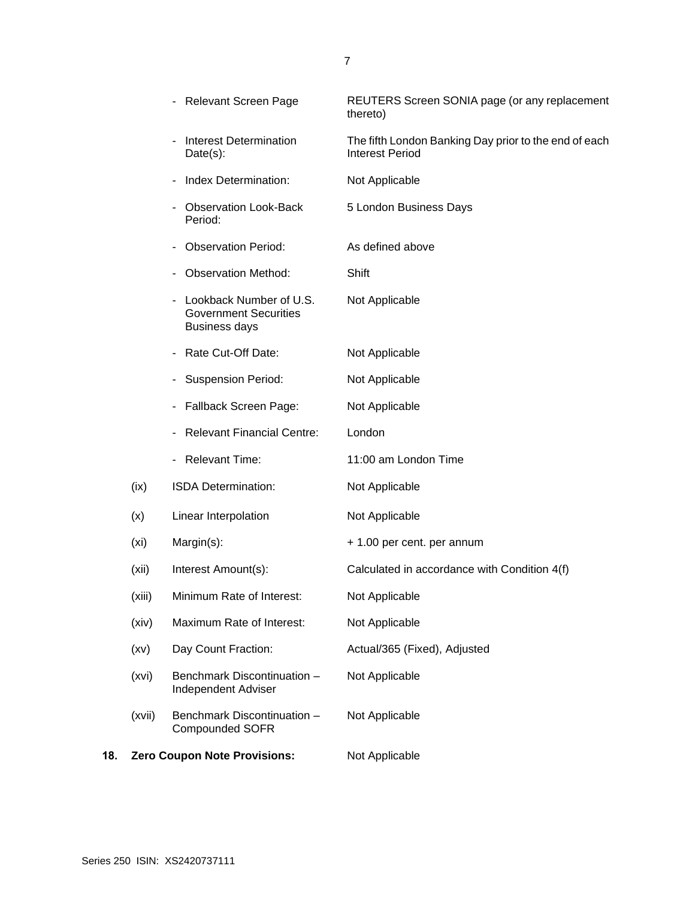|     |                   | - Relevant Screen Page                                                          | REUTERS Screen SONIA page (or any replacement<br>thereto)                       |
|-----|-------------------|---------------------------------------------------------------------------------|---------------------------------------------------------------------------------|
|     |                   | <b>Interest Determination</b><br>$Date(s)$ :                                    | The fifth London Banking Day prior to the end of each<br><b>Interest Period</b> |
|     |                   | Index Determination:                                                            | Not Applicable                                                                  |
|     |                   | <b>Observation Look-Back</b><br>Period:                                         | 5 London Business Days                                                          |
|     |                   | <b>Observation Period:</b>                                                      | As defined above                                                                |
|     |                   | <b>Observation Method:</b>                                                      | Shift                                                                           |
|     |                   | Lookback Number of U.S.<br><b>Government Securities</b><br><b>Business days</b> | Not Applicable                                                                  |
|     |                   | Rate Cut-Off Date:<br>-                                                         | Not Applicable                                                                  |
|     |                   | <b>Suspension Period:</b>                                                       | Not Applicable                                                                  |
|     |                   | Fallback Screen Page:                                                           | Not Applicable                                                                  |
|     |                   | <b>Relevant Financial Centre:</b>                                               | London                                                                          |
|     |                   | - Relevant Time:                                                                | 11:00 am London Time                                                            |
|     | (ix)              | ISDA Determination:                                                             | Not Applicable                                                                  |
|     | (x)               | Linear Interpolation                                                            | Not Applicable                                                                  |
|     | (x <sub>i</sub> ) | Margin(s):                                                                      | + 1.00 per cent. per annum                                                      |
|     | (xii)             | Interest Amount(s):                                                             | Calculated in accordance with Condition 4(f)                                    |
|     | (xiii)            | Minimum Rate of Interest:                                                       | Not Applicable                                                                  |
|     | (xiv)             | Maximum Rate of Interest:                                                       | Not Applicable                                                                  |
|     | (xv)              | Day Count Fraction:                                                             | Actual/365 (Fixed), Adjusted                                                    |
|     | (xvi)             | Benchmark Discontinuation -<br><b>Independent Adviser</b>                       | Not Applicable                                                                  |
|     | (xvii)            | Benchmark Discontinuation -<br><b>Compounded SOFR</b>                           | Not Applicable                                                                  |
| 18. |                   | <b>Zero Coupon Note Provisions:</b>                                             | Not Applicable                                                                  |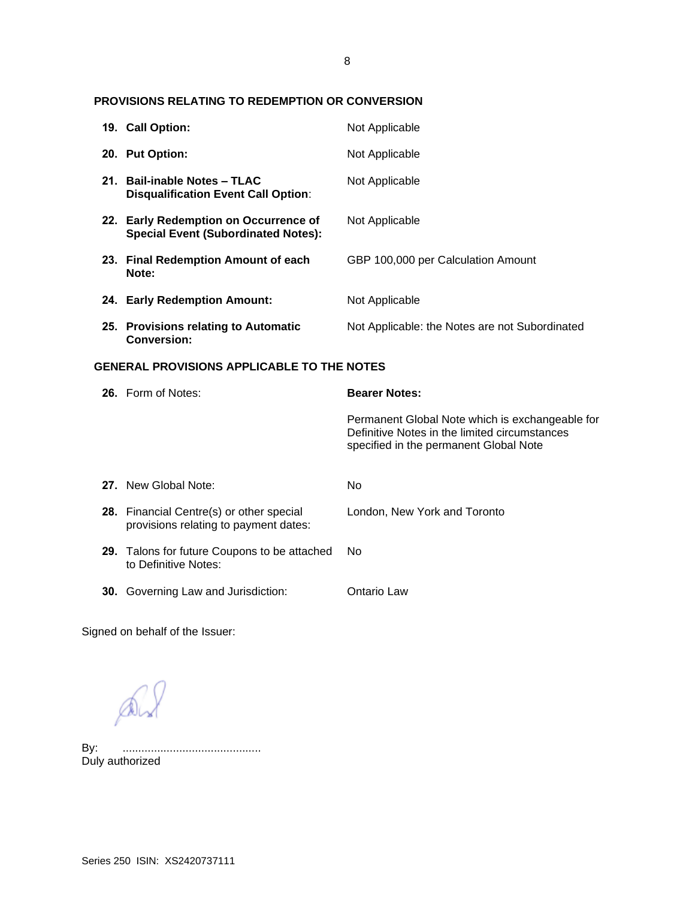# **PROVISIONS RELATING TO REDEMPTION OR CONVERSION**

|                                                   | 19. Call Option:                                                                    | Not Applicable                                                                                                                             |  |
|---------------------------------------------------|-------------------------------------------------------------------------------------|--------------------------------------------------------------------------------------------------------------------------------------------|--|
|                                                   | 20. Put Option:                                                                     | Not Applicable                                                                                                                             |  |
|                                                   | 21. Bail-inable Notes - TLAC<br><b>Disqualification Event Call Option:</b>          | Not Applicable                                                                                                                             |  |
|                                                   | 22. Early Redemption on Occurrence of<br><b>Special Event (Subordinated Notes):</b> | Not Applicable                                                                                                                             |  |
|                                                   | 23. Final Redemption Amount of each<br>Note:                                        | GBP 100,000 per Calculation Amount                                                                                                         |  |
|                                                   | 24. Early Redemption Amount:                                                        | Not Applicable                                                                                                                             |  |
|                                                   | 25. Provisions relating to Automatic<br><b>Conversion:</b>                          | Not Applicable: the Notes are not Subordinated                                                                                             |  |
| <b>GENERAL PROVISIONS APPLICABLE TO THE NOTES</b> |                                                                                     |                                                                                                                                            |  |
|                                                   | 26. Form of Notes:                                                                  | <b>Bearer Notes:</b>                                                                                                                       |  |
|                                                   |                                                                                     |                                                                                                                                            |  |
|                                                   |                                                                                     | Permanent Global Note which is exchangeable for<br>Definitive Notes in the limited circumstances<br>specified in the permanent Global Note |  |
|                                                   | 27. New Global Note:                                                                | No                                                                                                                                         |  |
|                                                   | 28. Financial Centre(s) or other special<br>provisions relating to payment dates:   | London, New York and Toronto                                                                                                               |  |
|                                                   | 29. Talons for future Coupons to be attached<br>to Definitive Notes:                | <b>No</b>                                                                                                                                  |  |

Signed on behalf of the Issuer:

 $\mathbb{A}$ 

By: ............................................ By: .............<br>Duly authorized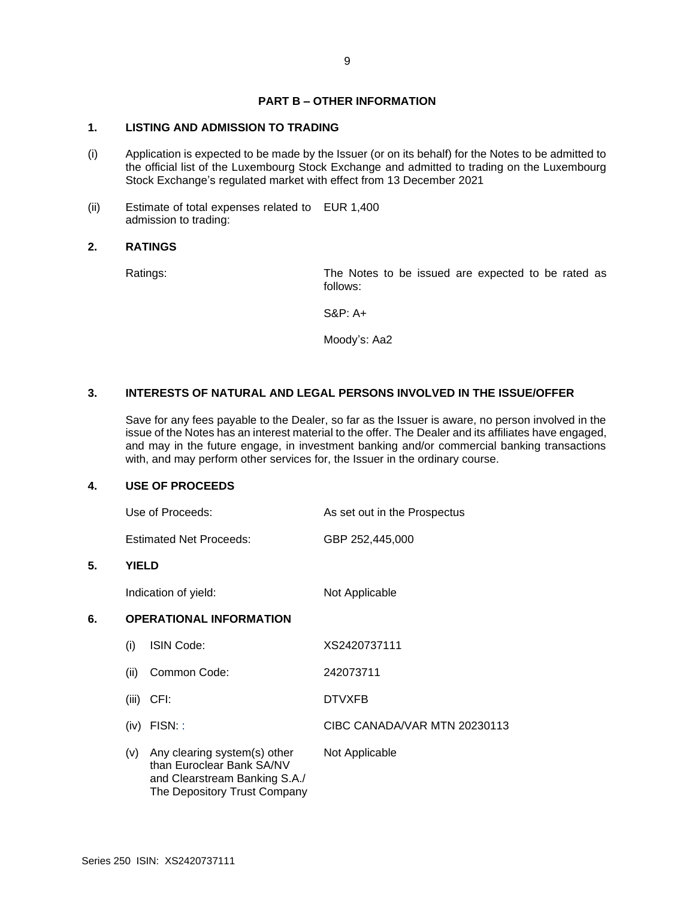# **PART B – OTHER INFORMATION**

# **1. LISTING AND ADMISSION TO TRADING**

- (i) Application is expected to be made by the Issuer (or on its behalf) for the Notes to be admitted to the official list of the Luxembourg Stock Exchange and admitted to trading on the Luxembourg Stock Exchange's regulated market with effect from 13 December 2021
- (ii) Estimate of total expenses related to EUR 1,400 admission to trading:

#### **2. RATINGS**

Ratings: The Notes to be issued are expected to be rated as follows:

S&P: A+

Moody's: Aa2

# **3. INTERESTS OF NATURAL AND LEGAL PERSONS INVOLVED IN THE ISSUE/OFFER**

Save for any fees payable to the Dealer, so far as the Issuer is aware, no person involved in the issue of the Notes has an interest material to the offer. The Dealer and its affiliates have engaged, and may in the future engage, in investment banking and/or commercial banking transactions with, and may perform other services for, the Issuer in the ordinary course.

#### **4. USE OF PROCEEDS**

| Use of Proceeds:               | As set out in the Prospectus |
|--------------------------------|------------------------------|
| <b>Estimated Net Proceeds:</b> | GBP 252,445,000              |

#### **5. YIELD**

Indication of yield: Not Applicable

# **6. OPERATIONAL INFORMATION**

| (i)   | ISIN Code:                                                                                                                 | XS2420737111                 |
|-------|----------------------------------------------------------------------------------------------------------------------------|------------------------------|
| (ii)  | Common Code:                                                                                                               | 242073711                    |
| (iii) | CFI:                                                                                                                       | <b>DTVXFB</b>                |
| (iv)  | FISN:                                                                                                                      | CIBC CANADA/VAR MTN 20230113 |
| (v)   | Any clearing system(s) other<br>than Euroclear Bank SA/NV<br>and Clearstream Banking S.A./<br>The Depository Trust Company | Not Applicable               |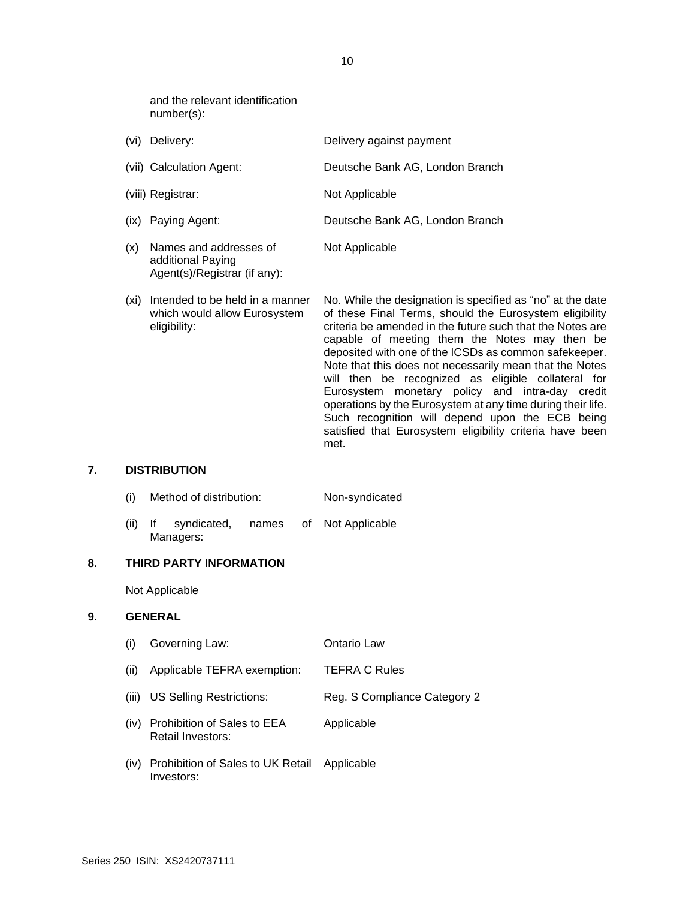and the relevant identification number(s):

Agent(s)/Registrar (if any):

| (vi) | Delivery:                                   | Delivery against payment        |
|------|---------------------------------------------|---------------------------------|
|      | (vii) Calculation Agent:                    | Deutsche Bank AG, London Branch |
|      | (viii) Registrar:                           | Not Applicable                  |
|      | (ix) Paying Agent:                          | Deutsche Bank AG, London Branch |
| (x)  | Names and addresses of<br>additional Paying | Not Applicable                  |

(xi) Intended to be held in a manner which would allow Eurosystem eligibility: No. While the designation is specified as "no" at the date of these Final Terms, should the Eurosystem eligibility criteria be amended in the future such that the Notes are capable of meeting them the Notes may then be deposited with one of the ICSDs as common safekeeper. Note that this does not necessarily mean that the Notes will then be recognized as eligible collateral for Eurosystem monetary policy and intra-day credit operations by the Eurosystem at any time during their life. Such recognition will depend upon the ECB being satisfied that Eurosystem eligibility criteria have been met.

#### **7. DISTRIBUTION**

- (i) Method of distribution: Non-syndicated
- (ii) If syndicated, names of Managers: Not Applicable

#### **8. THIRD PARTY INFORMATION**

Not Applicable

#### **9. GENERAL**

(i) Governing Law: Ontario Law (ii) Applicable TEFRA exemption: TEFRA C Rules (iii) US Selling Restrictions: Reg. S Compliance Category 2 (iv) Prohibition of Sales to EEA Retail Investors: Applicable (iv) Prohibition of Sales to UK Retail Applicable

10

Investors: